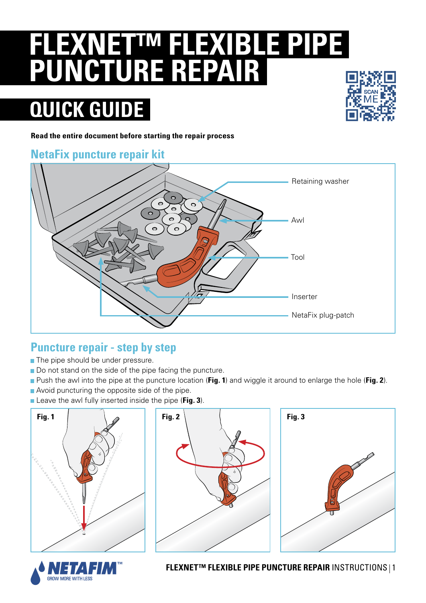# **FLEXNET™ FLEXIBLE PIPE PUNCTURE REPAIR**

## **QUICK GUIDE**



**Read the entire document before starting the repair process**

### **NetaFix puncture repair kit**



#### **Puncture repair - step by step**

- The pipe should be under pressure.
- Do not stand on the side of the pipe facing the puncture.
- Push the awl into the pipe at the puncture location (**Fig. 1**) and wiggle it around to enlarge the hole (**Fig. 2**).
- Avoid puncturing the opposite side of the pipe.
- **E** Leave the awl fully inserted inside the pipe (Fig. 3).









**FLEXNET™ FLEXIBLE PIPE PUNCTURE REPAIR** INSTRUCTIONS 1